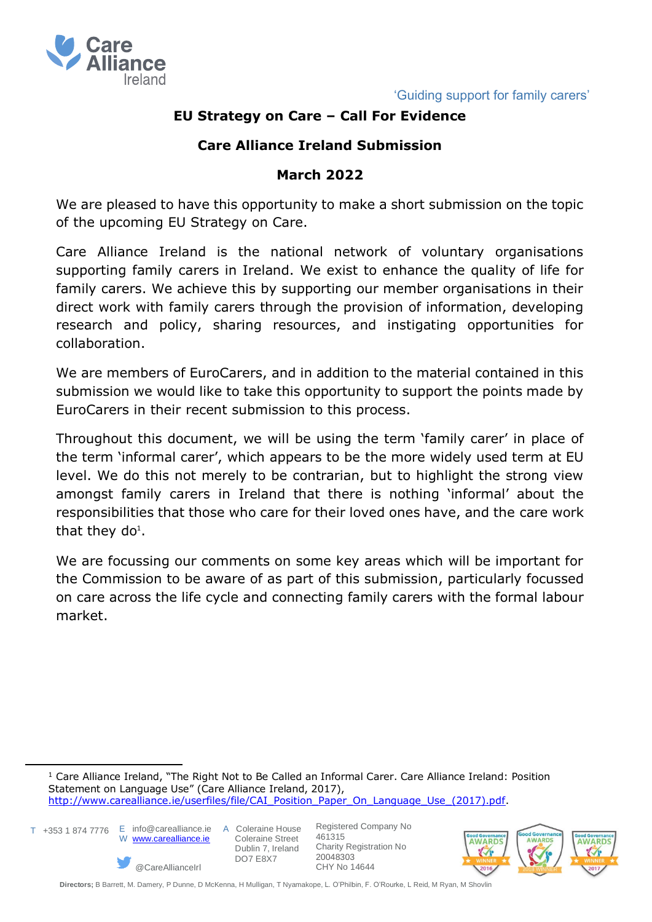

# **EU Strategy on Care – Call For Evidence**

# **Care Alliance Ireland Submission**

### **March 2022**

We are pleased to have this opportunity to make a short submission on the topic of the upcoming EU Strategy on Care.

Care Alliance Ireland is the national network of voluntary organisations supporting family carers in Ireland. We exist to enhance the quality of life for family carers. We achieve this by supporting our member organisations in their direct work with family carers through the provision of information, developing research and policy, sharing resources, and instigating opportunities for collaboration.

We are members of EuroCarers, and in addition to the material contained in this submission we would like to take this opportunity to support the points made by EuroCarers in their recent submission to this process.

Throughout this document, we will be using the term 'family carer' in place of the term 'informal carer', which appears to be the more widely used term at EU level. We do this not merely to be contrarian, but to highlight the strong view amongst family carers in Ireland that there is nothing 'informal' about the responsibilities that those who care for their loved ones have, and the care work that they do<sup>1</sup>.

We are focussing our comments on some key areas which will be important for the Commission to be aware of as part of this submission, particularly focussed on care across the life cycle and connecting family carers with the formal labour market.

<sup>1</sup> Care Alliance Ireland, "The Right Not to Be Called an Informal Carer. Care Alliance Ireland: Position Statement on Language Use" (Care Alliance Ireland, 2017), [http://www.carealliance.ie/userfiles/file/CAI\\_Position\\_Paper\\_On\\_Language\\_Use\\_\(2017\).pdf.](http://www.carealliance.ie/userfiles/file/CAI_Position_Paper_On_Language_Use_(2017).pdf)

T +353 1 874 7776 E info@carealliance.ie A Coleraine House



 Coleraine Street Dublin 7, Ireland DO7 E8X7

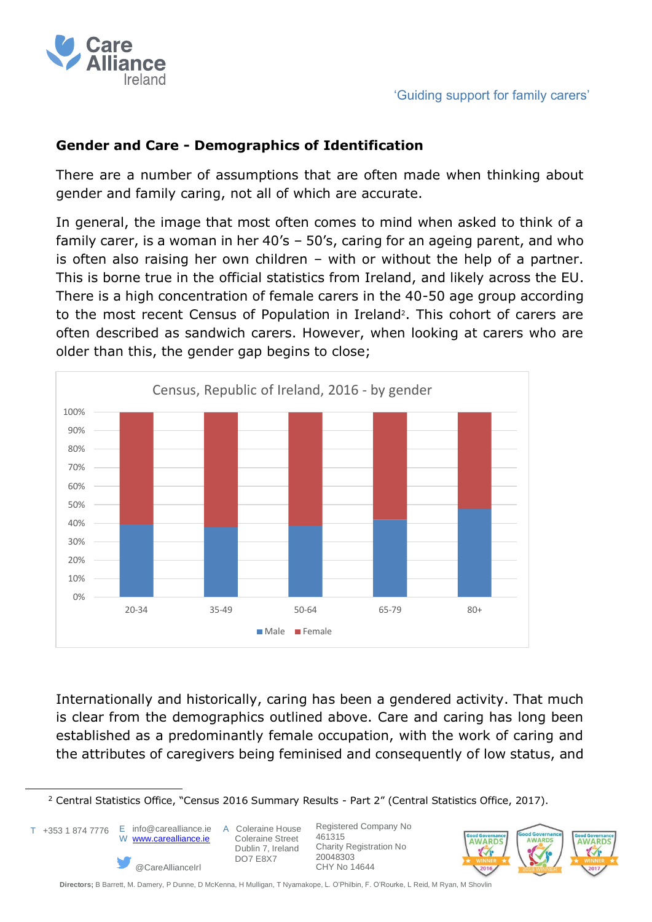

### **Gender and Care - Demographics of Identification**

There are a number of assumptions that are often made when thinking about gender and family caring, not all of which are accurate.

In general, the image that most often comes to mind when asked to think of a family carer, is a woman in her 40's – 50's, caring for an ageing parent, and who is often also raising her own children – with or without the help of a partner. This is borne true in the official statistics from Ireland, and likely across the EU. There is a high concentration of female carers in the 40-50 age group according to the most recent Census of Population in Ireland<sup>2</sup>. This cohort of carers are often described as sandwich carers. However, when looking at carers who are older than this, the gender gap begins to close;



Internationally and historically, caring has been a gendered activity. That much is clear from the demographics outlined above. Care and caring has long been established as a predominantly female occupation, with the work of caring and the attributes of caregivers being feminised and consequently of low status, and

T +353 1 874 7776

 E info@carealliance.ie A Coleraine House W [www.carealliance.ie](http://www.carealliance.ie/)

@CareAllianceIrl

 Coleraine Street Dublin 7, Ireland DO7 E8X7



<sup>&</sup>lt;sup>2</sup> Central Statistics Office, "Census 2016 Summary Results - Part 2" (Central Statistics Office, 2017).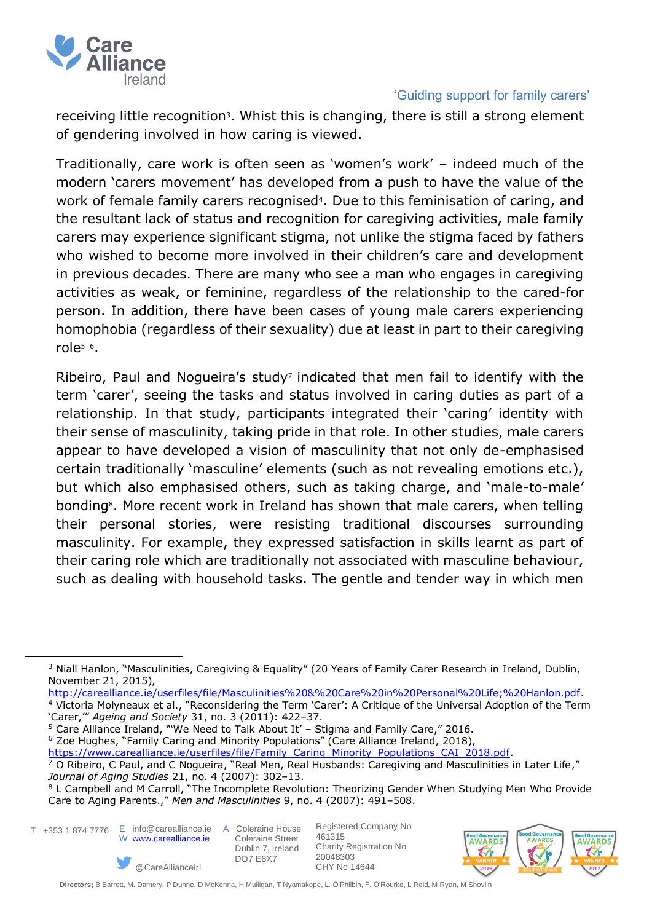

receiving little recognition<sup>3</sup>. Whist this is changing, there is still a strong element of gendering involved in how caring is viewed.

Traditionally, care work is often seen as 'women's work' – indeed much of the modern 'carers movement' has developed from a push to have the value of the work of female family carers recognised<sup>4</sup>. Due to this feminisation of caring, and the resultant lack of status and recognition for caregiving activities, male family carers may experience significant stigma, not unlike the stigma faced by fathers who wished to become more involved in their children's care and development in previous decades. There are many who see a man who engages in caregiving activities as weak, or feminine, regardless of the relationship to the cared-for person. In addition, there have been cases of young male carers experiencing homophobia (regardless of their sexuality) due at least in part to their caregiving role<sup>5</sup> <sup>6</sup>.

Ribeiro, Paul and Nogueira's study<sup>7</sup> indicated that men fail to identify with the term 'carer', seeing the tasks and status involved in caring duties as part of a relationship. In that study, participants integrated their 'caring' identity with their sense of masculinity, taking pride in that role. In other studies, male carers appear to have developed a vision of masculinity that not only de-emphasised certain traditionally 'masculine' elements (such as not revealing emotions etc.), but which also emphasised others, such as taking charge, and 'male-to-male' bonding8. More recent work in Ireland has shown that male carers, when telling their personal stories, were resisting traditional discourses surrounding masculinity. For example, they expressed satisfaction in skills learnt as part of their caring role which are traditionally not associated with masculine behaviour, such as dealing with household tasks. The gentle and tender way in which men

<sup>5</sup> Care Alliance Ireland, "'We Need to Talk About It' – Stigma and Family Care," 2016.

<sup>6</sup> Zoe Hughes, "Family Caring and Minority Populations" (Care Alliance Ireland, 2018),

*Journal of Aging Studies* 21, no. 4 (2007): 302–13.

@CareAllianceIrl

- T +353 1 874 7776 E info@carealliance.ie A Coleraine House
	- W [www.carealliance.ie](http://www.carealliance.ie/)

 Coleraine Street Dublin 7, Ireland DO7 E8X7

Registered Company No 461315 Charity Registration No 20048303 CHY No 14644

AMARDS

J

**AWARDS** 

<sup>3</sup> Niall Hanlon, "Masculinities, Caregiving & Equality" (20 Years of Family Carer Research in Ireland, Dublin, November 21, 2015),

[http://carealliance.ie/userfiles/file/Masculinities%20&%20Care%20in%20Personal%20Life;%20Hanlon.pdf.](http://carealliance.ie/userfiles/file/Masculinities%20&%20Care%20in%20Personal%20Life;%20Hanlon.pdf) <sup>4</sup> Victoria Molyneaux et al., "Reconsidering the Term 'Carer': A Critique of the Universal Adoption of the Term 'Carer,'" *Ageing and Society* 31, no. 3 (2011): 422–37.

[https://www.carealliance.ie/userfiles/file/Family\\_Caring\\_Minority\\_Populations\\_CAI\\_2018.pdf.](https://www.carealliance.ie/userfiles/file/Family_Caring_Minority_Populations_CAI_2018.pdf)  $\frac{7}{7}$  O Ribeiro, C Paul, and C Noqueira, "Real Men, Real Husbands: Caregiving and Masculinities in Later Life,"

<sup>&</sup>lt;sup>8</sup> L Campbell and M Carroll, "The Incomplete Revolution: Theorizing Gender When Studying Men Who Provide Care to Aging Parents.," *Men and Masculinities* 9, no. 4 (2007): 491–508.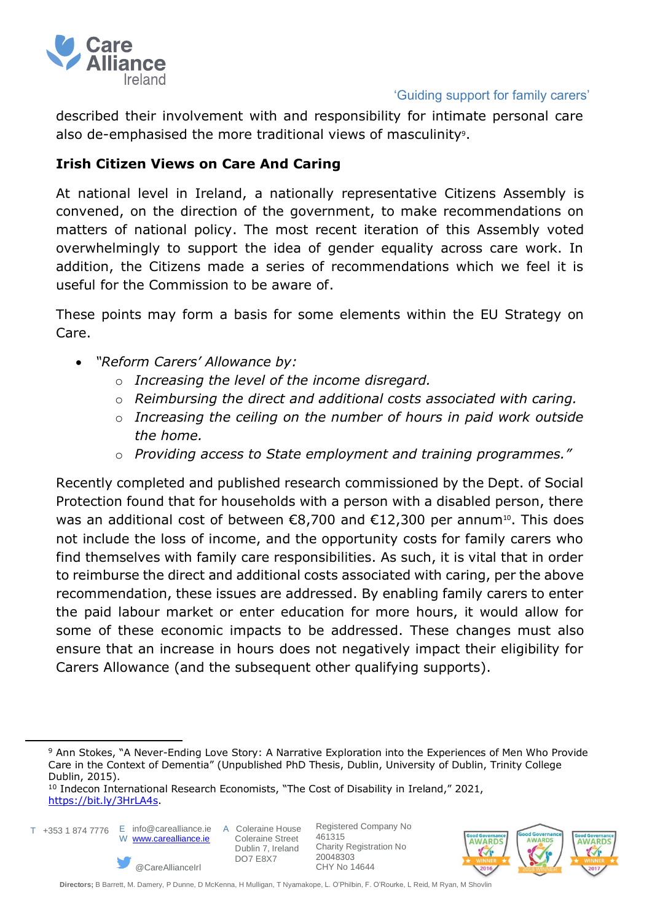

described their involvement with and responsibility for intimate personal care also de-emphasised the more traditional views of masculinity<sup>9</sup>.

# **Irish Citizen Views on Care And Caring**

At national level in Ireland, a nationally representative Citizens Assembly is convened, on the direction of the government, to make recommendations on matters of national policy. The most recent iteration of this Assembly voted overwhelmingly to support the idea of gender equality across care work. In addition, the Citizens made a series of recommendations which we feel it is useful for the Commission to be aware of.

These points may form a basis for some elements within the EU Strategy on Care.

- *"Reform Carers' Allowance by:*
	- o *Increasing the level of the income disregard.*
	- o *Reimbursing the direct and additional costs associated with caring.*
	- o *Increasing the ceiling on the number of hours in paid work outside the home.*
	- o *Providing access to State employment and training programmes."*

Recently completed and published research commissioned by the Dept. of Social Protection found that for households with a person with a disabled person, there was an additional cost of between  $\epsilon$ 8,700 and  $\epsilon$ 12,300 per annum<sup>10</sup>. This does not include the loss of income, and the opportunity costs for family carers who find themselves with family care responsibilities. As such, it is vital that in order to reimburse the direct and additional costs associated with caring, per the above recommendation, these issues are addressed. By enabling family carers to enter the paid labour market or enter education for more hours, it would allow for some of these economic impacts to be addressed. These changes must also ensure that an increase in hours does not negatively impact their eligibility for Carers Allowance (and the subsequent other qualifying supports).

T +353 1 874 7776 E info@carealliance.ie A Coleraine House W [www.carealliance.ie](http://www.carealliance.ie/)



 Coleraine Street Dublin 7, Ireland DO7 E8X7



<sup>9</sup> Ann Stokes, "A Never-Ending Love Story: A Narrative Exploration into the Experiences of Men Who Provide Care in the Context of Dementia" (Unpublished PhD Thesis, Dublin, University of Dublin, Trinity College Dublin, 2015).

<sup>&</sup>lt;sup>10</sup> Indecon International Research Economists, "The Cost of Disability in Ireland," 2021, [https://bit.ly/3HrLA4s.](https://bit.ly/3HrLA4s)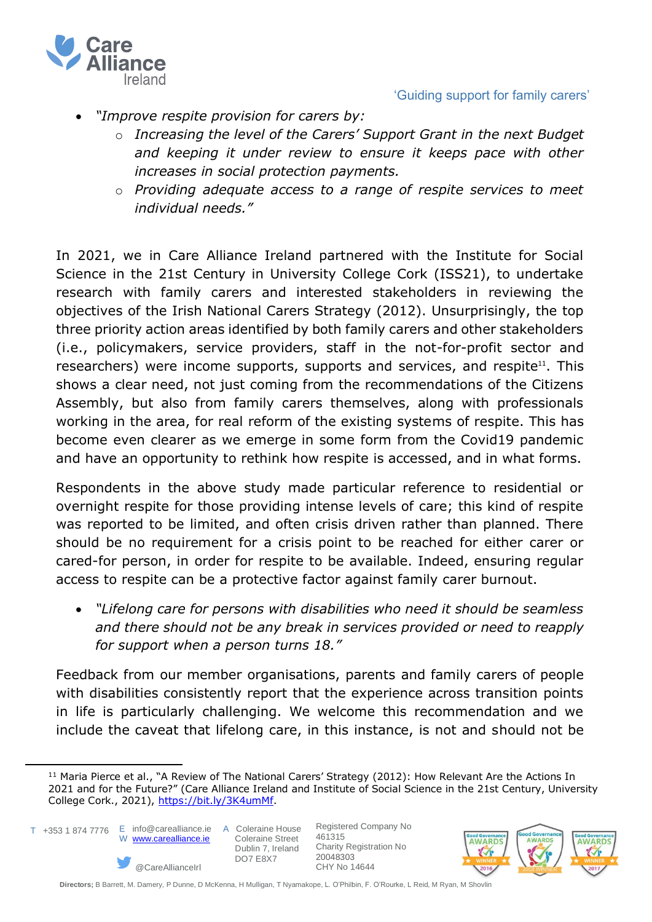

- *"Improve respite provision for carers by:*
	- o *Increasing the level of the Carers' Support Grant in the next Budget and keeping it under review to ensure it keeps pace with other increases in social protection payments.*
	- o *Providing adequate access to a range of respite services to meet individual needs."*

In 2021, we in Care Alliance Ireland partnered with the Institute for Social Science in the 21st Century in University College Cork (ISS21), to undertake research with family carers and interested stakeholders in reviewing the objectives of the Irish National Carers Strategy (2012). Unsurprisingly, the top three priority action areas identified by both family carers and other stakeholders (i.e., policymakers, service providers, staff in the not-for-profit sector and researchers) were income supports, supports and services, and respite<sup>11</sup>. This shows a clear need, not just coming from the recommendations of the Citizens Assembly, but also from family carers themselves, along with professionals working in the area, for real reform of the existing systems of respite. This has become even clearer as we emerge in some form from the Covid19 pandemic and have an opportunity to rethink how respite is accessed, and in what forms.

Respondents in the above study made particular reference to residential or overnight respite for those providing intense levels of care; this kind of respite was reported to be limited, and often crisis driven rather than planned. There should be no requirement for a crisis point to be reached for either carer or cared-for person, in order for respite to be available. Indeed, ensuring regular access to respite can be a protective factor against family carer burnout.

• *"Lifelong care for persons with disabilities who need it should be seamless and there should not be any break in services provided or need to reapply for support when a person turns 18."*

Feedback from our member organisations, parents and family carers of people with disabilities consistently report that the experience across transition points in life is particularly challenging. We welcome this recommendation and we include the caveat that lifelong care, in this instance, is not and should not be

T +353 1 874 7776 E info@carealliance.ie A Coleraine House



 Coleraine Street Dublin 7, Ireland DO7 E8X7



<sup>&</sup>lt;sup>11</sup> Maria Pierce et al., "A Review of The National Carers' Strategy (2012): How Relevant Are the Actions In 2021 and for the Future?" (Care Alliance Ireland and Institute of Social Science in the 21st Century, University College Cork., 2021), [https://bit.ly/3K4umMf.](https://bit.ly/3K4umMf)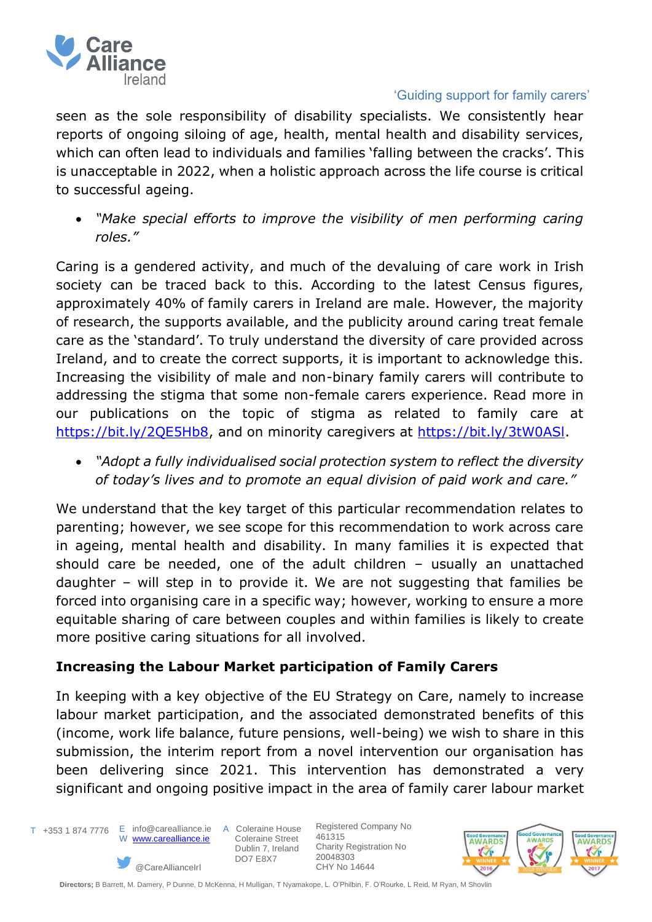

seen as the sole responsibility of disability specialists. We consistently hear reports of ongoing siloing of age, health, mental health and disability services, which can often lead to individuals and families 'falling between the cracks'. This is unacceptable in 2022, when a holistic approach across the life course is critical to successful ageing.

• *"Make special efforts to improve the visibility of men performing caring roles."*

Caring is a gendered activity, and much of the devaluing of care work in Irish society can be traced back to this. According to the latest Census figures, approximately 40% of family carers in Ireland are male. However, the majority of research, the supports available, and the publicity around caring treat female care as the 'standard'. To truly understand the diversity of care provided across Ireland, and to create the correct supports, it is important to acknowledge this. Increasing the visibility of male and non-binary family carers will contribute to addressing the stigma that some non-female carers experience. Read more in our publications on the topic of stigma as related to family care at [https://bit.ly/2QE5Hb8,](https://bit.ly/2QE5Hb8) and on minority caregivers at https://bit.ly/3tW0ASI.

• *"Adopt a fully individualised social protection system to reflect the diversity of today's lives and to promote an equal division of paid work and care."*

We understand that the key target of this particular recommendation relates to parenting; however, we see scope for this recommendation to work across care in ageing, mental health and disability. In many families it is expected that should care be needed, one of the adult children – usually an unattached daughter – will step in to provide it. We are not suggesting that families be forced into organising care in a specific way; however, working to ensure a more equitable sharing of care between couples and within families is likely to create more positive caring situations for all involved.

# **Increasing the Labour Market participation of Family Carers**

In keeping with a key objective of the EU Strategy on Care, namely to increase labour market participation, and the associated demonstrated benefits of this (income, work life balance, future pensions, well-being) we wish to share in this submission, the interim report from a novel intervention our organisation has been delivering since 2021. This intervention has demonstrated a very significant and ongoing positive impact in the area of family carer labour market

T +353 1 874 7776 E info@carealliance.ie A Coleraine House

 W [www.carealliance.ie](http://www.carealliance.ie/) @CareAllianceIrl

 Coleraine Street Dublin 7, Ireland DO7 E8X7